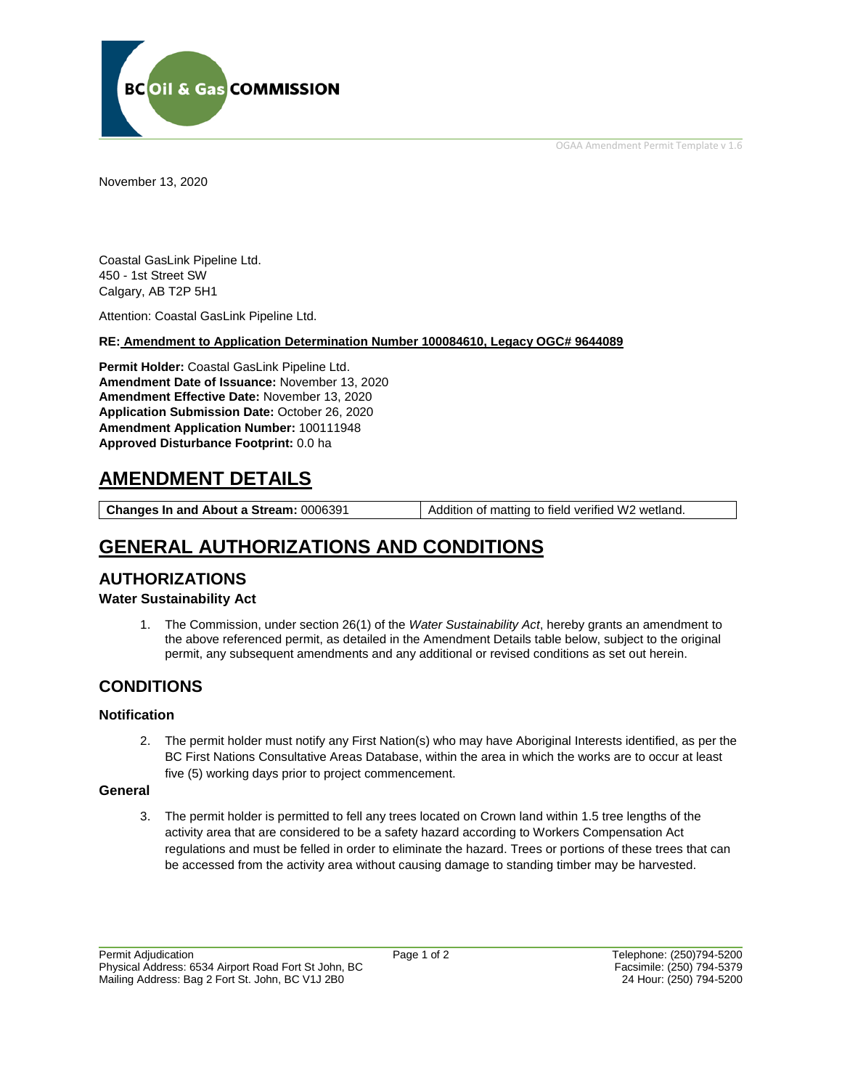OGAA Amendment Permit Template v 1.6



November 13, 2020

Coastal GasLink Pipeline Ltd. 450 - 1st Street SW Calgary, AB T2P 5H1

Attention: Coastal GasLink Pipeline Ltd.

## **RE: Amendment to Application Determination Number 100084610, Legacy OGC# 9644089**

**Permit Holder:** Coastal GasLink Pipeline Ltd. **Amendment Date of Issuance:** November 13, 2020 **Amendment Effective Date:** November 13, 2020 **Application Submission Date:** October 26, 2020 **Amendment Application Number:** 100111948 **Approved Disturbance Footprint:** 0.0 ha

# **AMENDMENT DETAILS**

**Changes In and About a Stream:** 0006391 Addition of matting to field verified W2 wetland.

# **GENERAL AUTHORIZATIONS AND CONDITIONS**

## **AUTHORIZATIONS**

## **Water Sustainability Act**

1. The Commission, under section 26(1) of the *Water Sustainability Act*, hereby grants an amendment to the above referenced permit, as detailed in the Amendment Details table below, subject to the original permit, any subsequent amendments and any additional or revised conditions as set out herein.

## **CONDITIONS**

## **Notification**

2. The permit holder must notify any First Nation(s) who may have Aboriginal Interests identified, as per the BC First Nations Consultative Areas Database, within the area in which the works are to occur at least five (5) working days prior to project commencement.

## **General**

3. The permit holder is permitted to fell any trees located on Crown land within 1.5 tree lengths of the activity area that are considered to be a safety hazard according to Workers Compensation Act regulations and must be felled in order to eliminate the hazard. Trees or portions of these trees that can be accessed from the activity area without causing damage to standing timber may be harvested.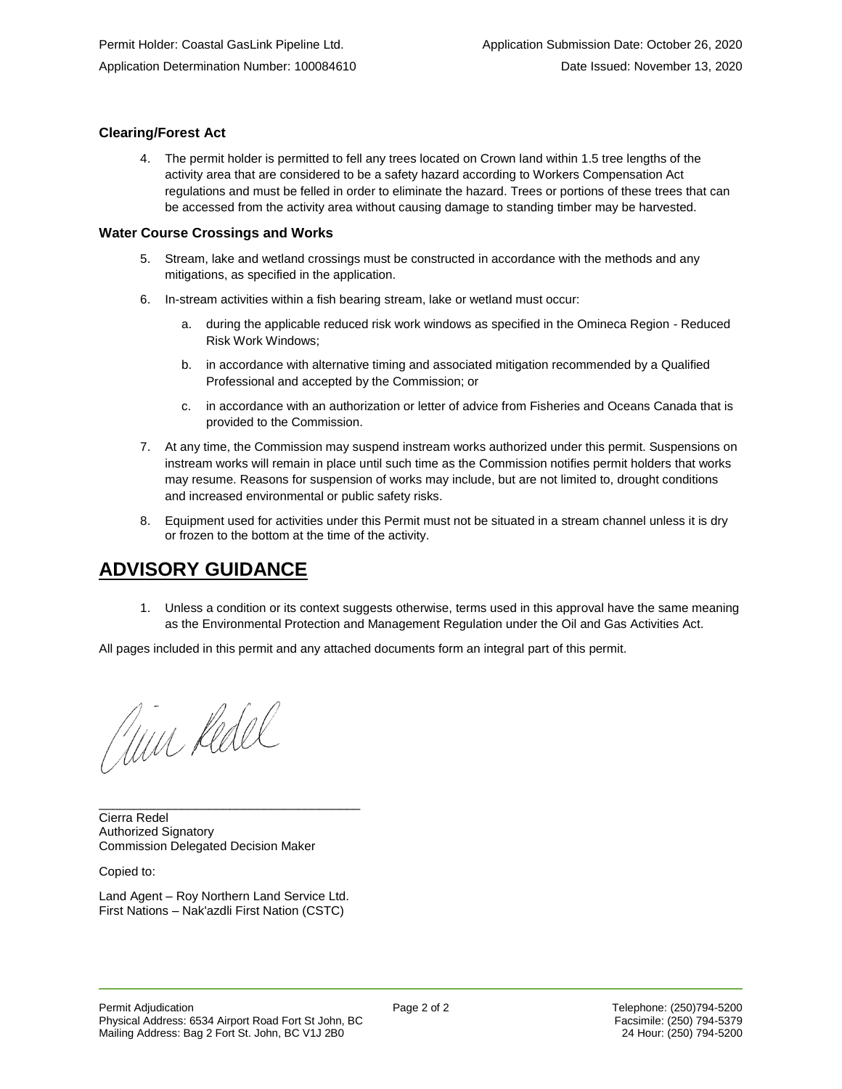## **Clearing/Forest Act**

4. The permit holder is permitted to fell any trees located on Crown land within 1.5 tree lengths of the activity area that are considered to be a safety hazard according to Workers Compensation Act regulations and must be felled in order to eliminate the hazard. Trees or portions of these trees that can be accessed from the activity area without causing damage to standing timber may be harvested.

#### **Water Course Crossings and Works**

- 5. Stream, lake and wetland crossings must be constructed in accordance with the methods and any mitigations, as specified in the application.
- 6. In-stream activities within a fish bearing stream, lake or wetland must occur:
	- a. during the applicable reduced risk work windows as specified in the Omineca Region Reduced Risk Work Windows;
	- b. in accordance with alternative timing and associated mitigation recommended by a Qualified Professional and accepted by the Commission; or
	- c. in accordance with an authorization or letter of advice from Fisheries and Oceans Canada that is provided to the Commission.
- 7. At any time, the Commission may suspend instream works authorized under this permit. Suspensions on instream works will remain in place until such time as the Commission notifies permit holders that works may resume. Reasons for suspension of works may include, but are not limited to, drought conditions and increased environmental or public safety risks.
- 8. Equipment used for activities under this Permit must not be situated in a stream channel unless it is dry or frozen to the bottom at the time of the activity.

# **ADVISORY GUIDANCE**

1. Unless a condition or its context suggests otherwise, terms used in this approval have the same meaning as the Environmental Protection and Management Regulation under the Oil and Gas Activities Act.

All pages included in this permit and any attached documents form an integral part of this permit.

Jun Rdel

Cierra Redel Authorized Signatory Commission Delegated Decision Maker

Copied to:

Land Agent – Roy Northern Land Service Ltd. First Nations – Nak'azdli First Nation (CSTC)

\_\_\_\_\_\_\_\_\_\_\_\_\_\_\_\_\_\_\_\_\_\_\_\_\_\_\_\_\_\_\_\_\_\_\_\_\_\_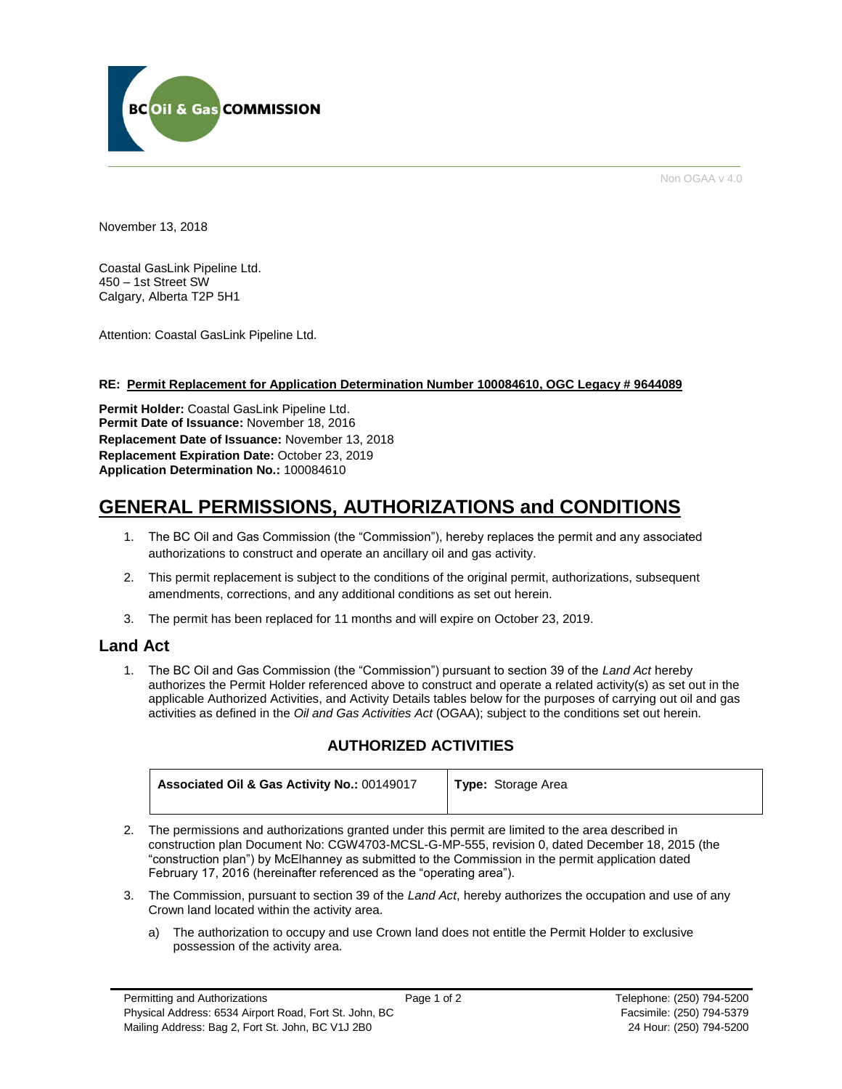

Non OGAA v 4.0

November 13, 2018

Coastal GasLink Pipeline Ltd. 450 – 1st Street SW Calgary, Alberta T2P 5H1

Attention: Coastal GasLink Pipeline Ltd.

## **RE: Permit Replacement for Application Determination Number 100084610, OGC Legacy # 9644089**

**Permit Holder:** Coastal GasLink Pipeline Ltd. **Permit Date of Issuance:** November 18, 2016 **Replacement Date of Issuance:** November 13, 2018 **Replacement Expiration Date:** October 23, 2019 **Application Determination No.:** 100084610

# **GENERAL PERMISSIONS, AUTHORIZATIONS and CONDITIONS**

- 1. The BC Oil and Gas Commission (the "Commission"), hereby replaces the permit and any associated authorizations to construct and operate an ancillary oil and gas activity.
- 2. This permit replacement is subject to the conditions of the original permit, authorizations, subsequent amendments, corrections, and any additional conditions as set out herein.
- 3. The permit has been replaced for 11 months and will expire on October 23, 2019.

## **Land Act**

1. The BC Oil and Gas Commission (the "Commission") pursuant to section 39 of the *Land Act* hereby authorizes the Permit Holder referenced above to construct and operate a related activity(s) as set out in the applicable Authorized Activities, and Activity Details tables below for the purposes of carrying out oil and gas activities as defined in the *Oil and Gas Activities Act* (OGAA); subject to the conditions set out herein.

## **AUTHORIZED ACTIVITIES**

| Associated Oil & Gas Activity No.: 00149017 | <b>Type:</b> Storage Area |
|---------------------------------------------|---------------------------|
|                                             |                           |

- 2. The permissions and authorizations granted under this permit are limited to the area described in construction plan Document No: CGW4703-MCSL-G-MP-555, revision 0, dated December 18, 2015 (the "construction plan") by McElhanney as submitted to the Commission in the permit application dated February 17, 2016 (hereinafter referenced as the "operating area").
- 3. The Commission, pursuant to section 39 of the *Land Act*, hereby authorizes the occupation and use of any Crown land located within the activity area.
	- a) The authorization to occupy and use Crown land does not entitle the Permit Holder to exclusive possession of the activity area.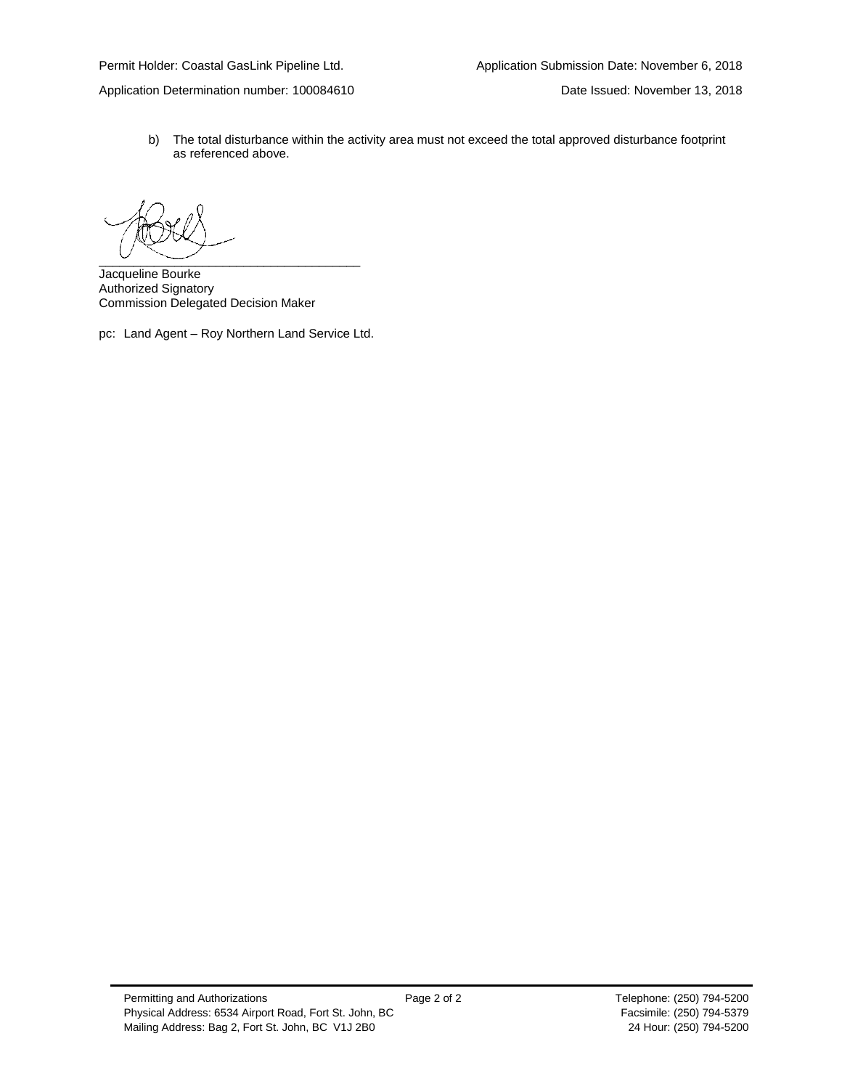Application Determination number: 100084610 Date Issued: November 13, 2018

b) The total disturbance within the activity area must not exceed the total approved disturbance footprint as referenced above.

 $\overbrace{\phantom{aaaaa}}^{a}$ 

Jacqueline Bourke Authorized Signatory Commission Delegated Decision Maker

pc: Land Agent – Roy Northern Land Service Ltd.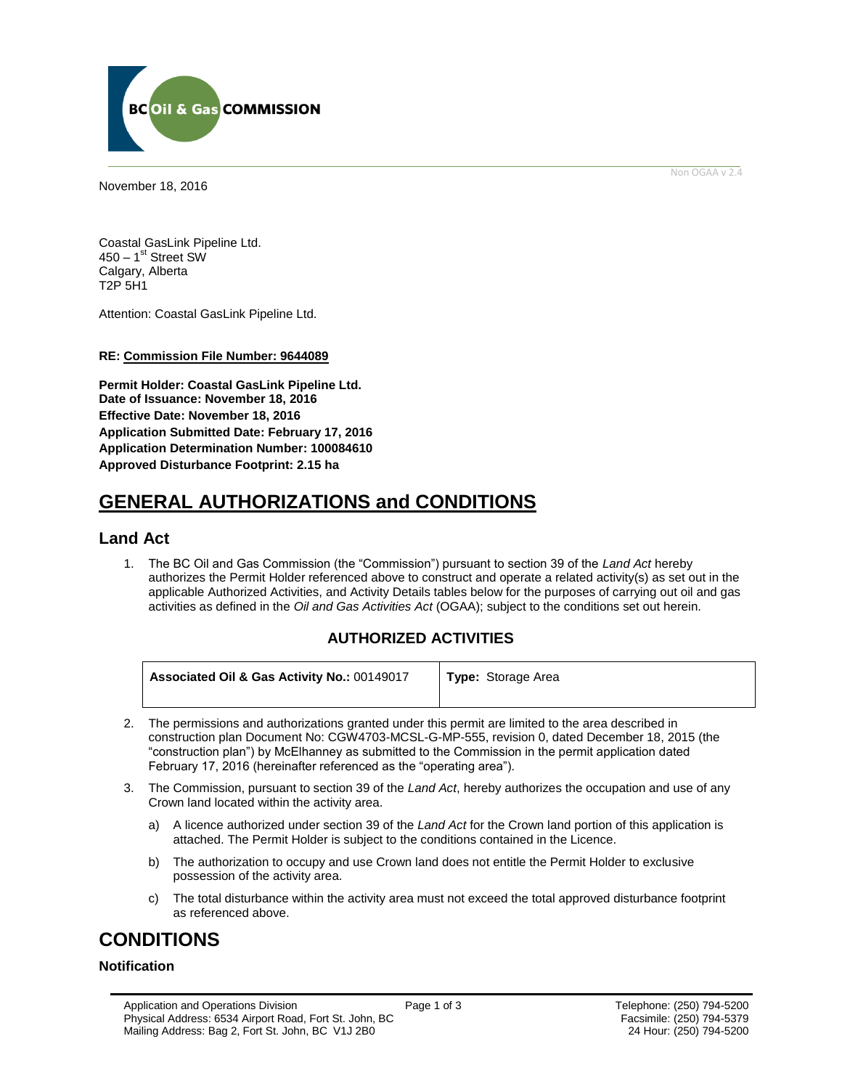

<span id="page-4-0"></span>November 18, 2016

Non OGAA v 2.4

Coastal GasLink Pipeline Ltd. 450 – 1<sup>st</sup> Street SW Calgary, Alberta T2P 5H1

Attention: Coastal GasLink Pipeline Ltd.

#### **RE: Commission File Number: 9644089**

**Permit Holder: Coastal GasLink Pipeline Ltd. Date of Issuance: November 18, 2016 Effective Date: November 18, 2016 Application Submitted Date: February 17, 2016 Application Determination Number: 100084610 [Approved Disturbance Footprint:](#page-4-0) 2.15 ha**

# **GENERAL AUTHORIZATIONS and CONDITIONS**

## **Land Act**

1. The BC Oil and Gas Commission (the "Commission") pursuant to section 39 of the *Land Act* hereby authorizes the Permit Holder referenced above to construct and operate a related activity(s) as set out in the applicable Authorized Activities, and Activity Details tables below for the purposes of carrying out oil and gas activities as defined in the *Oil and Gas Activities Act* (OGAA); subject to the conditions set out herein.

## **AUTHORIZED ACTIVITIES**

| Associated Oil & Gas Activity No.: 00149017 | <b>Type:</b> Storage Area |
|---------------------------------------------|---------------------------|
|                                             |                           |

- 2. The permissions and authorizations granted under this permit are limited to the area described in construction plan Document No: CGW4703-MCSL-G-MP-555, revision 0, dated December 18, 2015 (the "construction plan") by McElhanney as submitted to the Commission in the permit application dated February 17, 2016 (hereinafter referenced as the "operating area").
- 3. The Commission, pursuant to section 39 of the *Land Act*, hereby authorizes the occupation and use of any Crown land located within the activity area.
	- a) A licence authorized under section 39 of the *Land Act* for the Crown land portion of this application is attached. The Permit Holder is subject to the conditions contained in the Licence.
	- b) The authorization to occupy and use Crown land does not entitle the Permit Holder to exclusive possession of the activity area.
	- c) The total disturbance within the activity area must not exceed the total approved disturbance footprint as referenced above.

# **CONDITIONS**

## **Notification**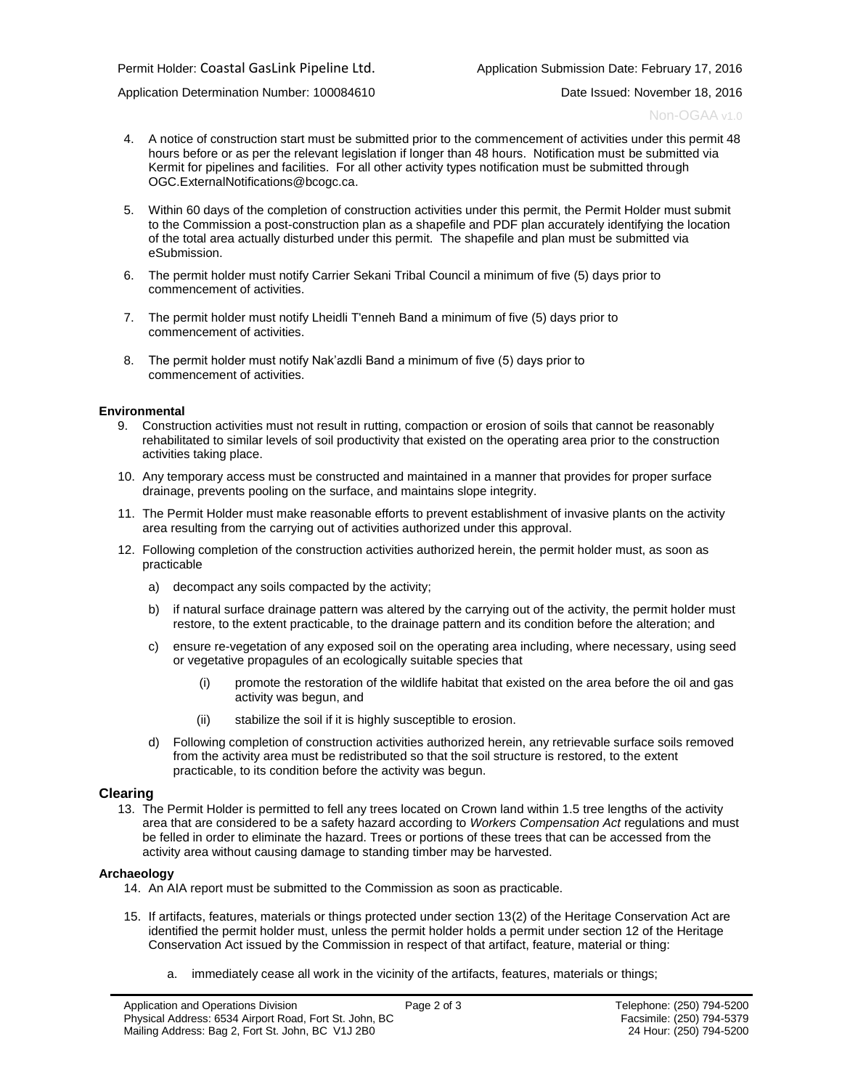Application Determination Number: 100084610 Date Issued: November 18, 2016

Non-OGAA v1.0

- 4. A notice of construction start must be submitted prior to the commencement of activities under this permit 48 hours before or as per the relevant legislation if longer than 48 hours. Notification must be submitted via Kermit for pipelines and facilities. For all other activity types notification must be submitted through [OGC.ExternalNotifications@bcogc.ca.](mailto:OGC.ExternalNotifications@bcogc.ca)
- 5. Within 60 days of the completion of construction activities under this permit, the Permit Holder must submit to the Commission a post-construction plan as a shapefile and PDF plan accurately identifying the location of the total area actually disturbed under this permit. The shapefile and plan must be submitted via eSubmission.
- 6. The permit holder must notify Carrier Sekani Tribal Council a minimum of five (5) days prior to commencement of activities.
- 7. The permit holder must notify Lheidli T'enneh Band a minimum of five (5) days prior to commencement of activities.
- 8. The permit holder must notify Nak'azdli Band a minimum of five (5) days prior to commencement of activities.

#### **Environmental**

- 9. Construction activities must not result in rutting, compaction or erosion of soils that cannot be reasonably rehabilitated to similar levels of soil productivity that existed on the operating area prior to the construction activities taking place.
- 10. Any temporary access must be constructed and maintained in a manner that provides for proper surface drainage, prevents pooling on the surface, and maintains slope integrity.
- 11. The Permit Holder must make reasonable efforts to prevent establishment of invasive plants on the activity area resulting from the carrying out of activities authorized under this approval.
- 12. Following completion of the construction activities authorized herein, the permit holder must, as soon as practicable
	- a) decompact any soils compacted by the activity;
	- b) if natural surface drainage pattern was altered by the carrying out of the activity, the permit holder must restore, to the extent practicable, to the drainage pattern and its condition before the alteration; and
	- c) ensure re-vegetation of any exposed soil on the operating area including, where necessary, using seed or vegetative propagules of an ecologically suitable species that
		- (i) promote the restoration of the wildlife habitat that existed on the area before the oil and gas activity was begun, and
		- (ii) stabilize the soil if it is highly susceptible to erosion.
	- d) Following completion of construction activities authorized herein, any retrievable surface soils removed from the activity area must be redistributed so that the soil structure is restored, to the extent practicable, to its condition before the activity was begun.

#### **Clearing**

13. The Permit Holder is permitted to fell any trees located on Crown land within 1.5 tree lengths of the activity area that are considered to be a safety hazard according to *Workers Compensation Act* regulations and must be felled in order to eliminate the hazard. Trees or portions of these trees that can be accessed from the activity area without causing damage to standing timber may be harvested.

#### **Archaeology**

- 14. [An AIA report must be submitted to the Commission as soon as practicable.](#page-4-0)
- 15. [If artifacts, features, materials or things protected under section 13\(2\) of the Heritage Conservation Act are](#page-4-0)  [identified the permit holder must, unless the permit holder holds a permit under section 12 of the Heritage](#page-4-0)  [Conservation Act issued by the Commission in respect of that artifact, feature, material or thing:](#page-4-0) 
	- a. [immediately cease all work in the vicinity of the artifacts, features, materials or things;](#page-4-0)